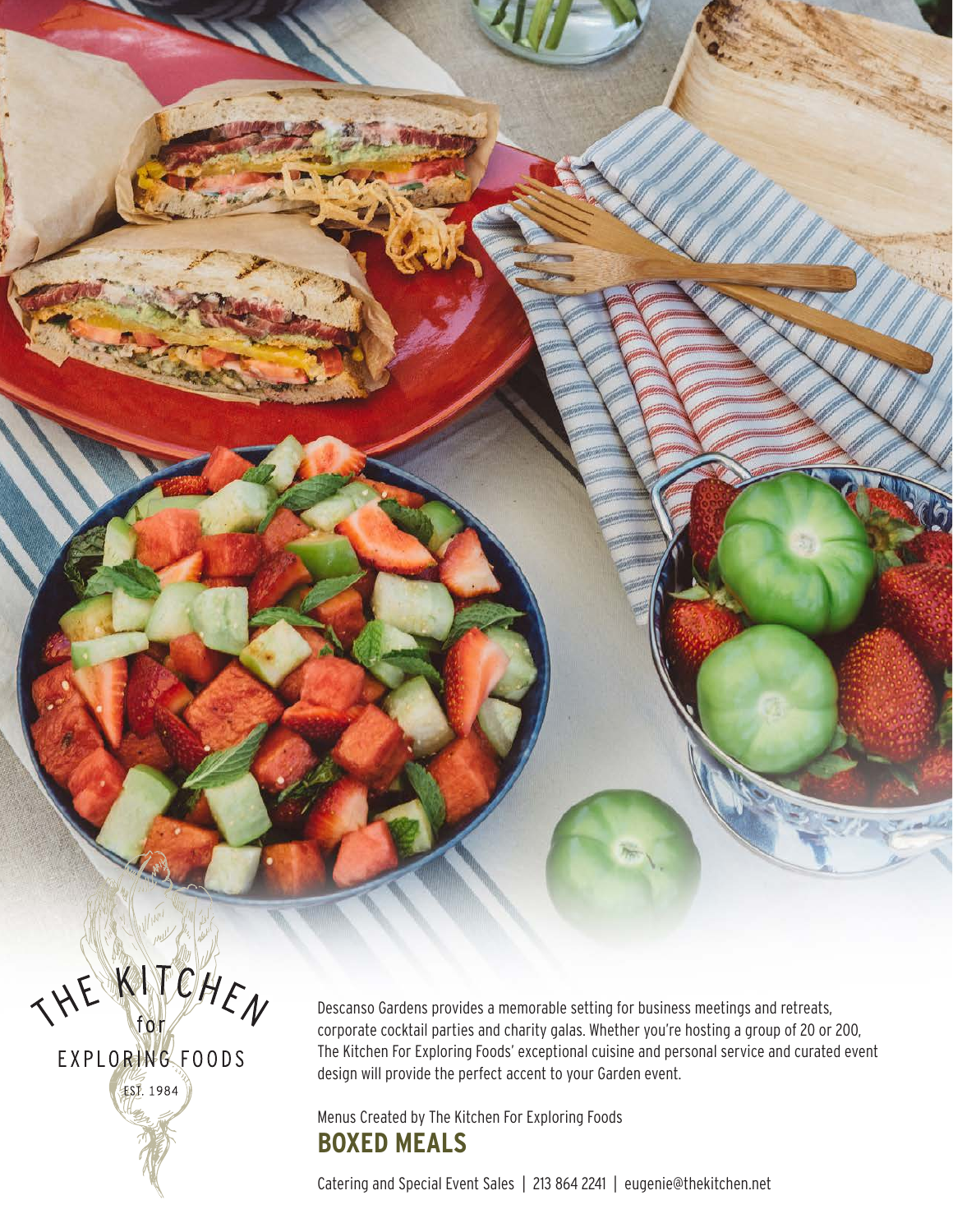THE KITCHEN EXPLORING FOODS **EST. 1984** 

Descanso Gardens provides a memorable setting for business meetings and retreats, corporate cocktail parties and charity galas. Whether you're hosting a group of 20 or 200, The Kitchen For Exploring Foods' exceptional cuisine and personal service and curated event design will provide the perfect accent to your Garden event.

#### Menus Created by The Kitchen For Exploring Foods **BOXED MEALS**

Catering and Special Event Sales | 213 864 2241 | eugenie@thekitchen.net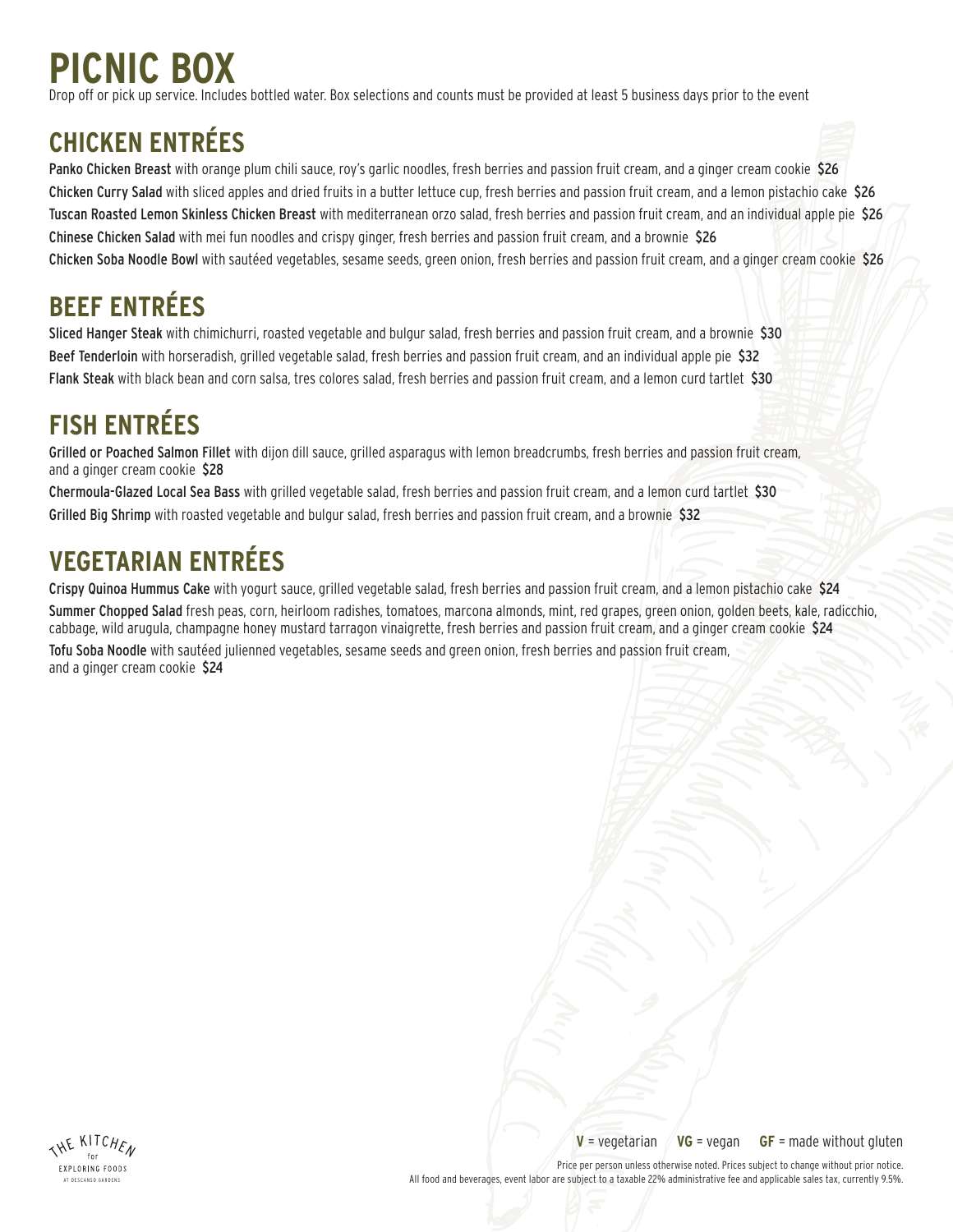# **PICNIC BOX**

Drop off or pick up service. Includes bottled water. Box selections and counts must be provided at least 5 business days prior to the event

### **CHICKEN ENTRÉES**

Panko Chicken Breast with orange plum chili sauce, roy's garlic noodles, fresh berries and passion fruit cream, and a ginger cream cookie \$26 Chicken Curry Salad with sliced apples and dried fruits in a butter lettuce cup, fresh berries and passion fruit cream, and a lemon pistachio cake \$26 Tuscan Roasted Lemon Skinless Chicken Breast with mediterranean orzo salad, fresh berries and passion fruit cream, and an individual apple pie \$26 Chinese Chicken Salad with mei fun noodles and crispy ginger, fresh berries and passion fruit cream, and a brownie \$26 Chicken Soba Noodle Bowl with sautéed vegetables, sesame seeds, green onion, fresh berries and passion fruit cream, and a ginger cream cookie \$26

## **BEEF ENTRÉES**

Sliced Hanger Steak with chimichurri, roasted vegetable and bulgur salad, fresh berries and passion fruit cream, and a brownie \$30 Beef Tenderloin with horseradish, grilled vegetable salad, fresh berries and passion fruit cream, and an individual apple pie \$32 Flank Steak with black bean and corn salsa, tres colores salad, fresh berries and passion fruit cream, and a lemon curd tartlet \$30

## **FISH ENTRÉES**

Grilled or Poached Salmon Fillet with dijon dill sauce, grilled asparagus with lemon breadcrumbs, fresh berries and passion fruit cream, and a ginger cream cookie \$28

Chermoula-Glazed Local Sea Bass with grilled vegetable salad, fresh berries and passion fruit cream, and a lemon curd tartlet \$30 Grilled Big Shrimp with roasted vegetable and bulgur salad, fresh berries and passion fruit cream, and a brownie \$32

### **VEGETARIAN ENTRÉES**

Crispy Quinoa Hummus Cake with yogurt sauce, grilled vegetable salad, fresh berries and passion fruit cream, and a lemon pistachio cake \$24 Summer Chopped Salad fresh peas, corn, heirloom radishes, tomatoes, marcona almonds, mint, red grapes, green onion, golden beets, kale, radicchio, cabbage, wild arugula, champagne honey mustard tarragon vinaigrette, fresh berries and passion fruit cream, and a ginger cream cookie \$24 Tofu Soba Noodle with sautéed julienned vegetables, sesame seeds and green onion, fresh berries and passion fruit cream, and a ginger cream cookie \$24



**V** = vegetarian **VG** = vegan **GF** = made without gluten

Price per person unless otherwise noted. Prices subject to change without prior notice. All food and beverages, event labor are subject to a taxable 22% administrative fee and applicable sales tax, currently 9.5%.